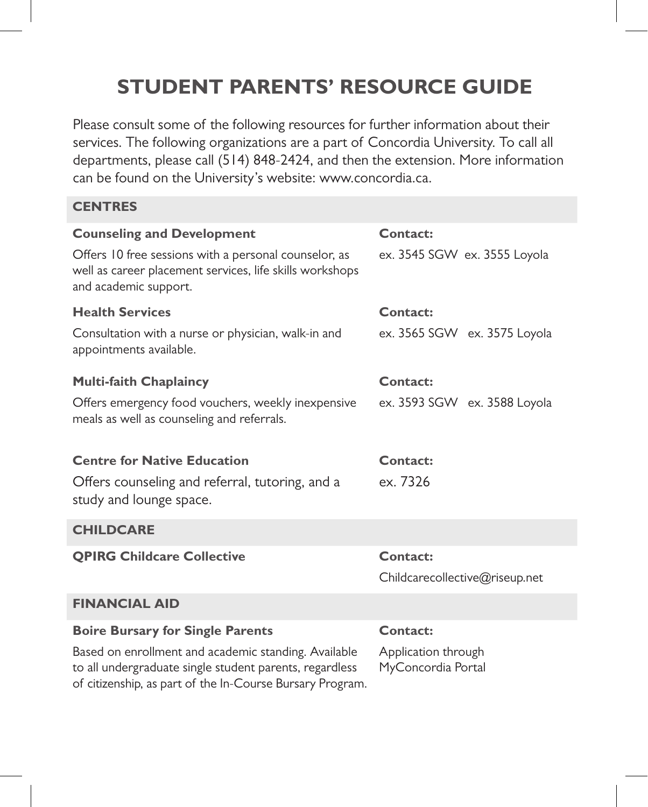# **STUDENT PARENTS' RESOURCE GUIDE**

Please consult some of the following resources for further information about their services. The following organizations are a part of Concordia University. To call all departments, please call (514) 848-2424, and then the extension. More information can be found on the University's website: www.concordia.ca.

### **CENTRES**

| <b>Counseling and Development</b>                                                                                                                                            | Contact:                                  |
|------------------------------------------------------------------------------------------------------------------------------------------------------------------------------|-------------------------------------------|
| Offers 10 free sessions with a personal counselor, as<br>well as career placement services, life skills workshops<br>and academic support.                                   | ex. 3545 SGW ex. 3555 Loyola              |
| <b>Health Services</b>                                                                                                                                                       | Contact:                                  |
| Consultation with a nurse or physician, walk-in and<br>appointments available.                                                                                               | ex. 3565 SGW ex. 3575 Loyola              |
| <b>Multi-faith Chaplaincy</b>                                                                                                                                                | Contact:                                  |
| Offers emergency food vouchers, weekly inexpensive<br>meals as well as counseling and referrals.                                                                             | ex. 3593 SGW ex. 3588 Loyola              |
| <b>Centre for Native Education</b>                                                                                                                                           | Contact:                                  |
| Offers counseling and referral, tutoring, and a<br>study and lounge space.                                                                                                   | ex. 7326                                  |
| <b>CHILDCARE</b>                                                                                                                                                             |                                           |
| <b>QPIRG Childcare Collective</b>                                                                                                                                            | Contact:                                  |
|                                                                                                                                                                              | Childcarecollective@riseup.net            |
| <b>FINANCIAL AID</b>                                                                                                                                                         |                                           |
| <b>Boire Bursary for Single Parents</b>                                                                                                                                      | Contact:                                  |
| Based on enrollment and academic standing. Available<br>to all undergraduate single student parents, regardless<br>of citizenship, as part of the In-Course Bursary Program. | Application through<br>MyConcordia Portal |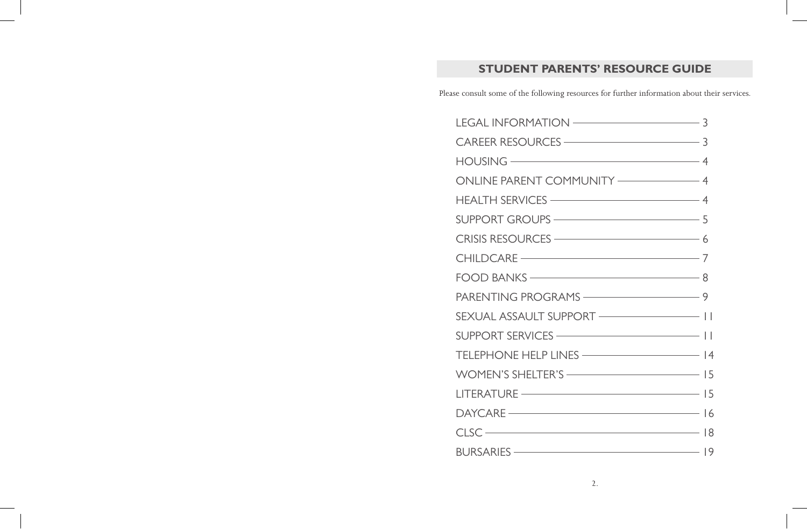## **STUDENT PARENTS' RESOURCE GUIDE**

Please consult some of the following resources for further information about their services.

| $HOUSING$ $\overline{\phantom{a}$ 4            |  |
|------------------------------------------------|--|
| ONLINE PARENT COMMUNITY ———————————————————— 4 |  |
|                                                |  |
|                                                |  |
| CRISIS RESOURCES ———————————————————— 6        |  |
| CHILDCARE - 7                                  |  |
| FOOD BANKS - 8                                 |  |
|                                                |  |
| SEXUAL ASSAULT SUPPORT - 11                    |  |
|                                                |  |
|                                                |  |
|                                                |  |
|                                                |  |
|                                                |  |
| $CLSC$ $18$                                    |  |
|                                                |  |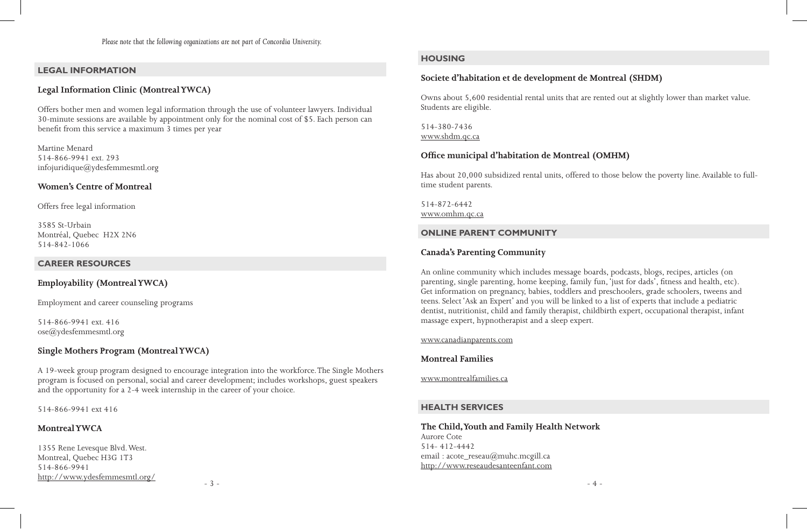*Please note that the following organizations are not part of Concordia University.*

#### **LEGAL INFORMATION**

#### **Legal Information Clinic (Montreal YWCA)**

Offers bother men and women legal information through the use of volunteer lawyers. Individual 30-minute sessions are available by appointment only for the nominal cost of \$5. Each person can benefit from this service a maximum 3 times per year

Martine Menard 514-866-9941 ext. 293 infojuridique@ydesfemmesmtl.org

#### **Women's Centre of Montreal**

Offers free legal information

3585 St-Urbain Montréal, Quebec H2X 2N6 514-842-1066

#### **CAREER RESOURCES**

### **Employability (Montreal YWCA)**

Employment and career counseling programs

514-866-9941 ext. 416 ose@ydesfemmesmtl.org

#### **Single Mothers Program (Montreal YWCA)**

A 19-week group program designed to encourage integration into the workforce. The Single Mothers program is focused on personal, social and career development; includes workshops, guest speakers and the opportunity for a 2-4 week internship in the career of your choice.

514-866-9941 ext 416

#### **Montreal YWCA**

1355 Rene Levesque Blvd. West. Montreal, Quebec H3G 1T3 514-866-9941 http://www.ydesfemmesmtl.org/

### **HOUSING**

### **Societe d'habitation et de development de Montreal (SHDM)**

Owns about 5,600 residential rental units that are rented out at slightly lower than market value. Students are eligible.

514-380-7436 www.shdm.qc.ca

#### **Office municipal d'habitation de Montreal (OMHM)**

Has about 20,000 subsidized rental units, offered to those below the poverty line. Available to fulltime student parents.

514-872-6442 www.omhm.qc.ca

#### **ONLINE PARENT COMMUNITY**

#### **Canada's Parenting Community**

An online community which includes message boards, podcasts, blogs, recipes, articles (on parenting, single parenting, home keeping, family fun, 'just for dads', fitness and health, etc). Get information on pregnancy, babies, toddlers and preschoolers, grade schoolers, tweens and teens. Select 'Ask an Expert' and you will be linked to a list of experts that include a pediatric dentist, nutritionist, child and family therapist, childbirth expert, occupational therapist, infant massage expert, hypnotherapist and a sleep expert.

www.canadianparents.com

#### **Montreal Families**

www.montrealfamilies.ca

#### **HEALTH SERVICES**

#### **The Child, Youth and Family Health Network** Aurore Cote 514- 412-4442

email : acote\_reseau@muhc.mcgill.ca http://www.reseaudesanteenfant.com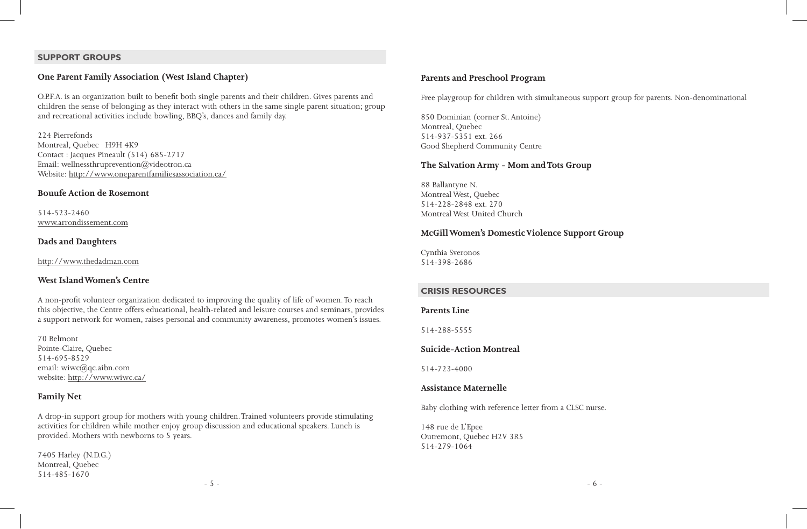#### **SUPPORT GROUPS**

### **One Parent Family Association (West Island Chapter)**

O.P.F.A. is an organization built to benefit both single parents and their children. Gives parents and children the sense of belonging as they interact with others in the same single parent situation; group and recreational activities include bowling, BBQ's, dances and family day.

224 Pierrefonds Montreal, Quebec H9H 4K9 Contact : Jacques Pineault (514) 685-2717 Email: wellnessthruprevention@videotron.ca Website: http://www.oneparentfamiliesassociation.ca/

#### **Bouufe Action de Rosemont**

514-523-2460 www.arrondissement.com

#### **Dads and Daughters**

http://www.thedadman.com

#### **West Island Women's Centre**

A non-profit volunteer organization dedicated to improving the quality of life of women. To reach this objective, the Centre offers educational, health-related and leisure courses and seminars, provides a support network for women, raises personal and community awareness, promotes women's issues.

70 Belmont Pointe-Claire, Quebec 514-695-8529 email: wiwc@qc.aibn.com website: http://www.wiwc.ca/

#### **Family Net**

A drop-in support group for mothers with young children. Trained volunteers provide stimulating activities for children while mother enjoy group discussion and educational speakers. Lunch is provided. Mothers with newborns to 5 years.

7405 Harley (N.D.G.) Montreal, Quebec 514-485-1670

#### **Parents and Preschool Program**

Free playgroup for children with simultaneous support group for parents. Non-denominational

850 Dominian (corner St. Antoine) Montreal, Quebec 514-937-5351 ext. 266 Good Shepherd Community Centre

#### **The Salvation Army - Mom and Tots Group**

88 Ballantyne N. Montreal West, Quebec 514-228-2848 ext. 270 Montreal West United Church

#### **McGill Women's Domestic Violence Support Group**

Cynthia Sveronos 514-398-2686

#### **CRISIS RESOURCES**

#### **Parents Line**

514-288-5555

#### **Suicide-Action Montreal**

514-723-4000

#### **Assistance Maternelle**

Baby clothing with reference letter from a CLSC nurse.

148 rue de L'Epee Outremont, Quebec H2V 3R5 514-279-1064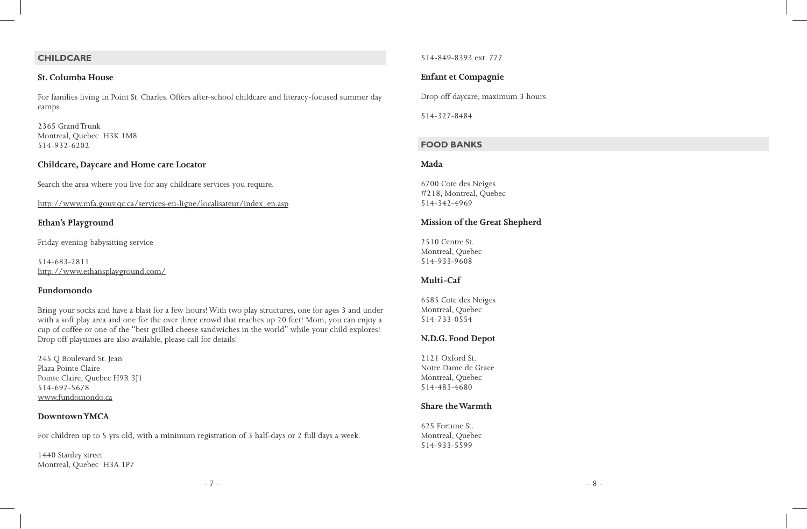#### **CHILDCARE**

#### **St. Columba House**

For families living in Point St. Charles. Offers after-school childcare and literacy-focused summer day camps.

2365 Grand Trunk Montreal, Quebec H3K 1M8 514-932-6202

#### **Childcare, Daycare and Home care Locator**

Search the area where you live for any childcare services you require.

http://www.mfa.gouv.qc.ca/services-en-ligne/localisateur/index\_en.asp

### **Ethan's Playground**

Friday evening babysitting service

514-683-2811 http://www.ethansplayground.com/

#### **Fundomondo**

Bring your socks and have a blast for a few hours! With two play structures, one for ages 3 and under with a soft play area and one for the over three crowd that reaches up 20 feet! Mom, you can enjoy a cup of coffee or one of the "best grilled cheese sandwiches in the world" while your child explores! Drop off playtimes are also available, please call for details!

245 Q Boulevard St. Jean Plaza Pointe Claire Pointe Claire, Quebec H9R 3J1 514-697-5678 www.fundomondo.ca

#### **Downtown YMCA**

For children up to 5 yrs old, with a minimum registration of 3 half-days or 2 full days a week.

1440 Stanley street Montreal, Quebec H3A 1P7 514-849-8393 ext. 777

### **Enfant et Compagnie**

Drop off daycare, maximum 3 hours

514-327-8484

#### **FOOD BANKS**

#### **Mada**

6700 Cote des Neiges #218, Montreal, Quebec 514-342-4969

#### **Mission of the Great Shepherd**

2510 Centre St. Montreal, Quebec 514-933-9608

#### **Multi-Caf**

6585 Cote des Neiges Montreal, Quebec 514-733-0554

#### **N.D.G. Food Depot**

2121 Oxford St. Notre Dame de Grace Montreal, Quebec 514-483-4680

#### **Share the Warmth**

625 Fortune St. Montreal, Quebec 514-933-5599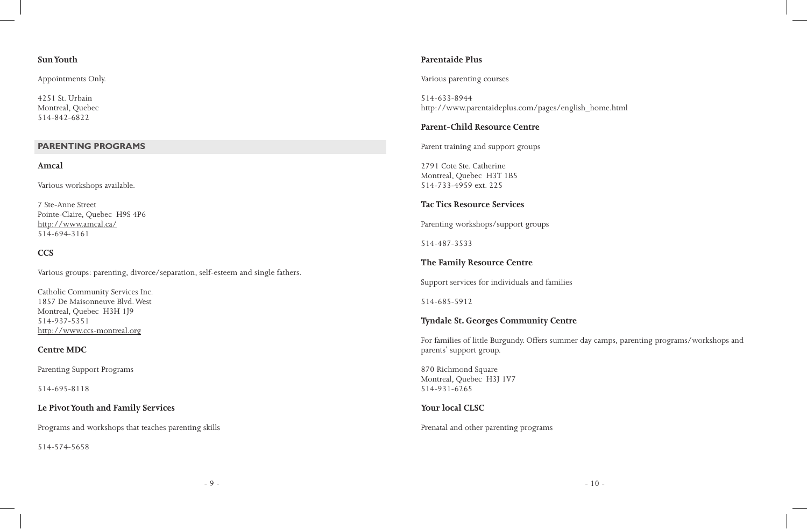#### **Sun Youth**

Appointments Only.

4251 St. Urbain Montreal, Quebec 514-842-6822

#### **PARENTING PROGRAMS**

#### **Amcal**

Various workshops available.

7 Ste-Anne Street Pointe-Claire, Quebec H9S 4P6 http://www.amcal.ca/ 514-694-3161

### **CCS**

Various groups: parenting, divorce/separation, self-esteem and single fathers.

Catholic Community Services Inc. 1857 De Maisonneuve Blvd. West Montreal, Quebec H3H 1J9 514-937-5351 http://www.ccs-montreal.org

#### **Centre MDC**

Parenting Support Programs

514-695-8118

### **Le Pivot Youth and Family Services**

Programs and workshops that teaches parenting skills

514-574-5658

#### **Parentaide Plus**

Various parenting courses

514-633-8944 http://www.parentaideplus.com/pages/english\_home.html

### **Parent-Child Resource Centre**

Parent training and support groups

2791 Cote Ste. Catherine Montreal, Quebec H3T 1B5 514-733-4959 ext. 225

### **Tac Tics Resource Services**

Parenting workshops/support groups

514-487-3533

### **The Family Resource Centre**

Support services for individuals and families

514-685-5912

### **Tyndale St. Georges Community Centre**

For families of little Burgundy. Offers summer day camps, parenting programs/workshops and parents' support group.

870 Richmond Square Montreal, Quebec H3J 1V7 514-931-6265

### **Your local CLSC**

Prenatal and other parenting programs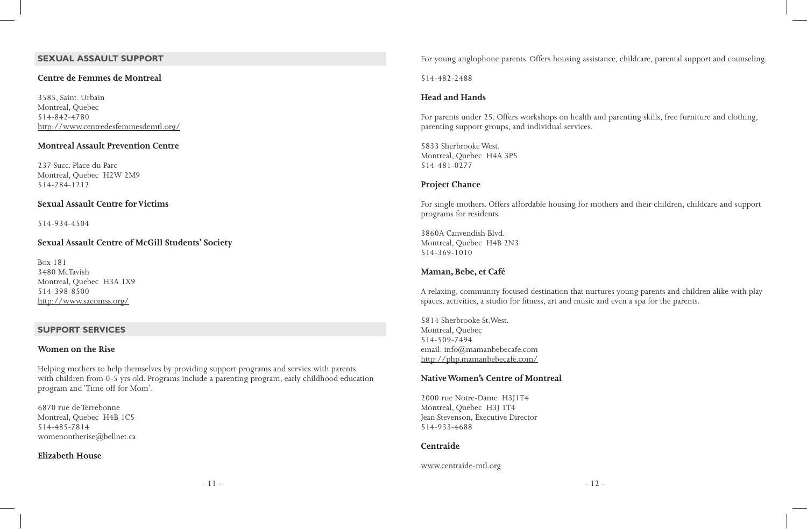### **SEXUAL ASSAULT SUPPORT**

#### **Centre de Femmes de Montreal**

3585, Saint. Urbain Montreal, Quebec 514-842-4780 http://www.centredesfemmesdemtl.org/

#### **Montreal Assault Prevention Centre**

237 Succ. Place du Parc Montreal, Quebec H2W 2M9 514-284-1212

#### **Sexual Assault Centre for Victims**

514-934-4504

### **Sexual Assault Centre of McGill Students' Society**

Box 181 3480 McTavish Montreal, Quebec H3A 1X9 514-398-8500 http://www.sacomss.org/

#### **SUPPORT SERVICES**

#### **Women on the Rise**

Helping mothers to help themselves by providing support programs and servies with parents with children from 0-5 yrs old. Programs include a parenting program, early childhood education program and 'Time off for Mom'.

6870 rue de Terrebonne Montreal, Quebec H4B 1C5 514-485-7814 womenontherise@bellnet.ca

#### **Elizabeth House**

For young anglophone parents. Offers housing assistance, childcare, parental support and counseling.

514-482-2488

#### **Head and Hands**

For parents under 25. Offers workshops on health and parenting skills, free furniture and clothing, parenting support groups, and individual services.

5833 Sherbrooke West. Montreal, Quebec H4A 3P5 514-481-0277

#### **Project Chance**

For single mothers. Offers affordable housing for mothers and their children, childcare and support programs for residents.

3860A Canvendish Blvd. Montreal, Quebec H4B 2N3 514-369-1010

#### **Maman, Bebe, et Café**

A relaxing, community focused destination that nurtures young parents and children alike with play spaces, activities, a studio for fitness, art and music and even a spa for the parents.

5814 Sherbrooke St.West. Montreal, Quebec 514-509-7494 email: info@mamanbebecafe.com http://php.mamanbebecafe.com/

### **Native Women's Centre of Montreal**

2000 rue Notre-Dame H3J1T4 Montreal, Quebec H3J 1T4 Jean Stevenson, Executive Director 514-933-4688

#### **Centraide**

#### www.centraide-mtl.org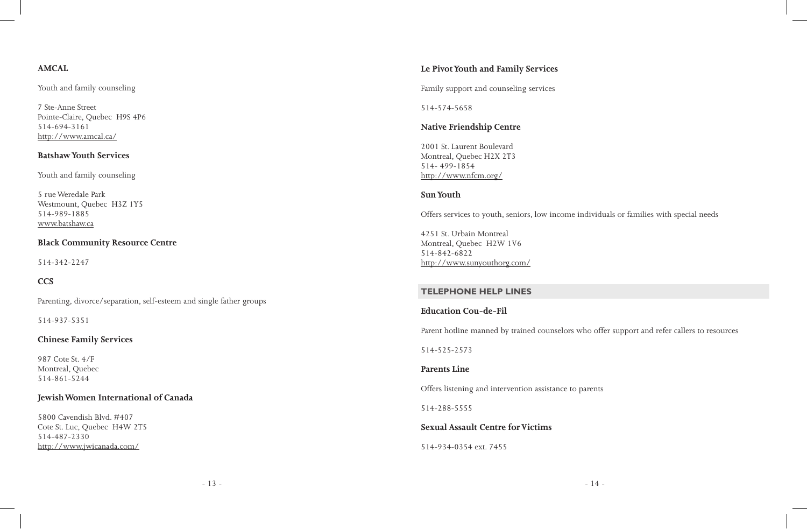### **AMCAL**

Youth and family counseling

7 Ste-Anne Street Pointe-Claire, Quebec H9S 4P6 514-694-3161 http://www.amcal.ca/

### **Batshaw Youth Services**

Youth and family counseling

5 rue Weredale Park Westmount, Quebec H3Z 1Y5 514-989-1885 www.batshaw.ca

### **Black Community Resource Centre**

514-342-2247

### **CCS**

Parenting, divorce/separation, self-esteem and single father groups

514-937-5351

### **Chinese Family Services**

987 Cote St. 4/F Montreal, Quebec 514-861-5244

### **Jewish Women International of Canada**

5800 Cavendish Blvd. #407 Cote St. Luc, Quebec H4W 2T5 514-487-2330 http://www.jwicanada.com/

### **Le Pivot Youth and Family Services**

Family support and counseling services

514-574-5658

### **Native Friendship Centre**

2001 St. Laurent Boulevard Montreal, Quebec H2X 2T3 514- 499-1854 http://www.nfcm.org/

#### **Sun Youth**

Offers services to youth, seniors, low income individuals or families with special needs

4251 St. Urbain Montreal Montreal, Quebec H2W 1V6 514-842-6822 http://www.sunyouthorg.com/

### **TELEPHONE HELP LINES**

### **Education Cou-de-Fil**

Parent hotline manned by trained counselors who offer support and refer callers to resources

514-525-2573

#### **Parents Line**

Offers listening and intervention assistance to parents

514-288-5555

### **Sexual Assault Centre for Victims**

514-934-0354 ext. 7455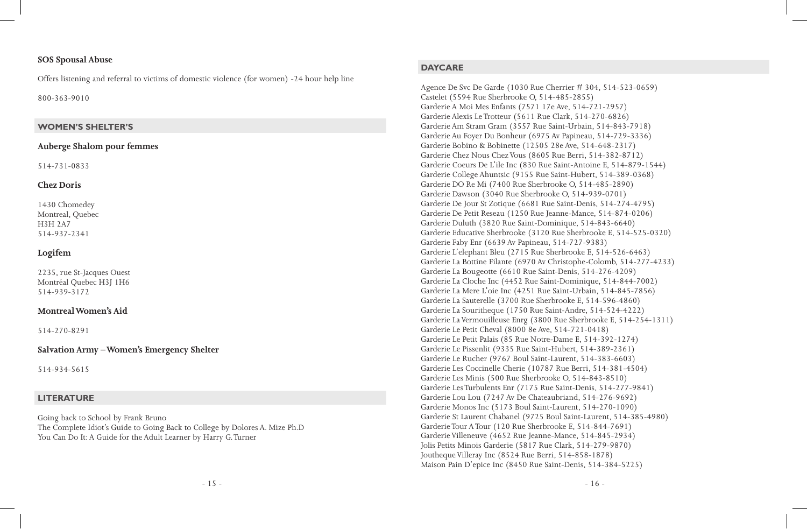#### **SOS Spousal Abuse**

Offers listening and referral to victims of domestic violence (for women) -24 hour help line

800-363-9010

#### **WOMEN'S SHELTER'S**

#### **Auberge Shalom pour femmes**

514-731-0833

#### **Chez Doris**

1430 Chomedey Montreal, Quebec H3H 2A7 514-937-2341

### **Logifem**

2235, rue St-Jacques Ouest Montréal Quebec H3J 1H6 514-939-3172

#### **Montreal Women's Aid**

514-270-8291

### **Salvation Army – Women's Emergency Shelter**

514-934-5615

### **LITERATURE**

Going back to School by Frank Bruno The Complete Idiot's Guide to Going Back to College by Dolores A. Mize Ph.D You Can Do It: A Guide for the Adult Learner by Harry G. Turner

#### **DAYCARE**

Agence De Svc De Garde (1030 Rue Cherrier # 304, 514-523-0659) Castelet (5594 Rue Sherbrooke O, 514-485-2855) Garderie A Moi Mes Enfants (7571 17e Ave, 514-721-2957) Garderie Alexis Le Trotteur (5611 Rue Clark, 514-270-6826) Garderie Am Stram Gram (3557 Rue Saint-Urbain, 514-843-7918) Garderie Au Foyer Du Bonheur (6975 Av Papineau, 514-729-3336) Garderie Bobino & Bobinette (12505 28e Ave, 514-648-2317) Garderie Chez Nous Chez Vous (8605 Rue Berri, 514-382-8712) Garderie Coeurs De L'ile Inc (830 Rue Saint-Antoine E, 514-879-1544) Garderie College Ahuntsic (9155 Rue Saint-Hubert, 514-389-0368) Garderie DO Re Mi (7400 Rue Sherbrooke O, 514-485-2890) Garderie Dawson (3040 Rue Sherbrooke O, 514-939-0701) Garderie De Jour St Zotique (6681 Rue Saint-Denis, 514-274-4795) Garderie De Petit Reseau (1250 Rue Jeanne-Mance, 514-874-0206) Garderie Duluth (3820 Rue Saint-Dominique, 514-843-6640) Garderie Educative Sherbrooke (3120 Rue Sherbrooke E, 514-525-0320) Garderie Faby Enr (6639 Av Papineau, 514-727-9383) Garderie L'elephant Bleu (2715 Rue Sherbrooke E, 514-526-6463) Garderie La Bottine Filante (6970 Av Christophe-Colomb, 514-277-4233) Garderie La Bougeotte (6610 Rue Saint-Denis, 514-276-4209) Garderie La Cloche Inc (4452 Rue Saint-Dominique, 514-844-7002) Garderie La Mere L'oie Inc (4251 Rue Saint-Urbain, 514-845-7856) Garderie La Sauterelle (3700 Rue Sherbrooke E, 514-596-4860) Garderie La Souritheque (1750 Rue Saint-Andre, 514-524-4222) Garderie La Vermouilleuse Enrg (3800 Rue Sherbrooke E, 514-254-1311) Garderie Le Petit Cheval (8000 8e Ave, 514-721-0418) Garderie Le Petit Palais (85 Rue Notre-Dame E, 514-392-1274) Garderie Le Pissenlit (9335 Rue Saint-Hubert, 514-389-2361) Garderie Le Rucher (9767 Boul Saint-Laurent, 514-383-6603) Garderie Les Coccinelle Cherie (10787 Rue Berri, 514-381-4504) Garderie Les Minis (500 Rue Sherbrooke O, 514-843-8510) Garderie Les Turbulents Enr (7175 Rue Saint-Denis, 514-277-9841) Garderie Lou Lou (7247 Av De Chateaubriand, 514-276-9692) Garderie Monos Inc (5173 Boul Saint-Laurent, 514-270-1090) Garderie St Laurent Chabanel (9725 Boul Saint-Laurent, 514-385-4980) Garderie Tour A Tour (120 Rue Sherbrooke E, 514-844-7691) Garderie Villeneuve (4652 Rue Jeanne-Mance, 514-845-2934) Jolis Petits Minois Garderie (5817 Rue Clark, 514-279-9870) Joutheque Villeray Inc (8524 Rue Berri, 514-858-1878) Maison Pain D'epice Inc (8450 Rue Saint-Denis, 514-384-5225)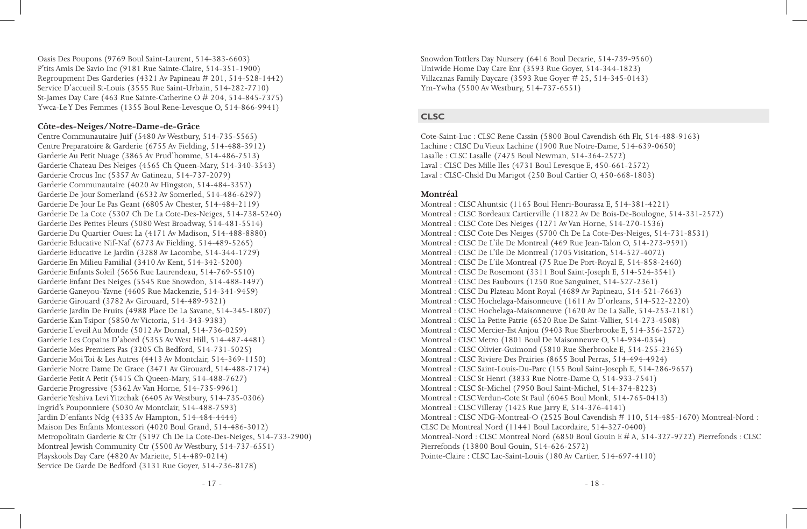Oasis Des Poupons (9769 Boul Saint-Laurent, 514-383-6603) P'tits Amis De Savio Inc (9181 Rue Sainte-Claire, 514-351-1900) Regroupment Des Garderies (4321 Av Papineau # 201, 514-528-1442) Service D'accueil St-Louis (3555 Rue Saint-Urbain, 514-282-7710) St-James Day Care (463 Rue Sainte-Catherine O # 204, 514-845-7375) Ywca-Le Y Des Femmes (1355 Boul Rene-Levesque O, 514-866-9941)

#### **Côte-des-Neiges/Notre-Dame-de-Grâce**

Centre Communautaire Juif (5480 Av Westbury, 514-735-5565) Centre Preparatoire & Garderie (6755 Av Fielding, 514-488-3912) Garderie Au Petit Nuage (3865 Av Prud'homme, 514-486-7513) Garderie Chateau Des Neiges (4565 Ch Queen-Mary, 514-340-3543) Garderie Crocus Inc (5357 Av Gatineau, 514-737-2079) Garderie Communautaire (4020 Av Hingston, 514-484-3352) Garderie De Jour Somerland (6532 Av Somerled, 514-486-6297) Garderie De Jour Le Pas Geant (6805 Av Chester, 514-484-2119) Garderie De La Cote (5307 Ch De La Cote-Des-Neiges, 514-738-5240) Garderie Des Petites Fleurs (5080 West Broadway, 514-481-5514) Garderie Du Quartier Ouest La (4171 Av Madison, 514-488-8880) Garderie Educative Nif-Naf (6773 Av Fielding, 514-489-5265) Garderie Educative Le Jardin (3288 Av Lacombe, 514-344-1729) Garderie En Milieu Familial (3410 Av Kent, 514-342-5200) Garderie Enfants Soleil (5656 Rue Laurendeau, 514-769-5510) Garderie Enfant Des Neiges (5545 Rue Snowdon, 514-488-1497) Garderie Ganeyou-Yavne (4605 Rue Mackenzie, 514-341-9459) Garderie Girouard (3782 Av Girouard, 514-489-9321) Garderie Jardin De Fruits (4988 Place De La Savane, 514-345-1807) Garderie Kan Tsipor (5850 Av Victoria, 514-343-9383) Garderie L'eveil Au Monde (5012 Av Dornal, 514-736-0259) Garderie Les Copains D'abord (5355 Av West Hill, 514-487-4481) Garderie Mes Premiers Pas (3205 Ch Bedford, 514-731-5025) Garderie Moi Toi & Les Autres (4413 Av Montclair, 514-369-1150) Garderie Notre Dame De Grace (3471 Av Girouard, 514-488-7174) Garderie Petit A Petit (5415 Ch Queen-Mary, 514-488-7627) Garderie Progressive (5362 Av Van Horne, 514-735-9961) Garderie Yeshiva Levi Yitzchak (6405 Av Westbury, 514-735-0306) Ingrid's Pouponniere (5030 Av Montclair, 514-488-7593) Jardin D'enfants Ndg (4335 Av Hampton, 514-484-4444) Maison Des Enfants Montessori (4020 Boul Grand, 514-486-3012) Metropolitain Garderie & Ctr (5197 Ch De La Cote-Des-Neiges, 514-733-2900) Montreal Jewish Community Ctr (5500 Av Westbury, 514-737-6551) Playskools Day Care (4820 Av Mariette, 514-489-0214) Service De Garde De Bedford (3131 Rue Goyer, 514-736-8178)

Snowdon Tottlers Day Nursery (6416 Boul Decarie, 514-739-9560) Uniwide Home Day Care Enr (3593 Rue Goyer, 514-344-1823) Villacanas Family Daycare (3593 Rue Goyer # 25, 514-345-0143) Ym-Ywha (5500 Av Westbury, 514-737-6551)

#### **CLSC**

Cote-Saint-Luc : CLSC Rene Cassin (5800 Boul Cavendish 6th Flr, 514-488-9163) Lachine : CLSC Du Vieux Lachine (1900 Rue Notre-Dame, 514-639-0650) Lasalle : CLSC Lasalle (7475 Boul Newman, 514-364-2572) Laval : CLSC Des Mille Iles (4731 Boul Levesque E, 450-661-2572) Laval : CLSC-Chsld Du Marigot (250 Boul Cartier O, 450-668-1803)

#### **Montréal**

Montreal : CLSC Ahuntsic (1165 Boul Henri-Bourassa E, 514-381-4221) Montreal : CLSC Bordeaux Cartierville (11822 Av De Bois-De-Boulogne, 514-331-2572) Montreal : CLSC Cote Des Neiges (1271 Av Van Horne, 514-270-1536) Montreal : CLSC Cote Des Neiges (5700 Ch De La Cote-Des-Neiges, 514-731-8531) Montreal : CLSC De L'ile De Montreal (469 Rue Jean-Talon O, 514-273-9591) Montreal : CLSC De L'ile De Montreal (1705 Visitation, 514-527-4072) Montreal : CLSC De L'ile Montreal (75 Rue De Port-Royal E, 514-858-2460) Montreal : CLSC De Rosemont (3311 Boul Saint-Joseph E, 514-524-3541) Montreal : CLSC Des Faubours (1250 Rue Sanguinet, 514-527-2361) Montreal : CLSC Du Plateau Mont Royal (4689 Av Papineau, 514-521-7663) Montreal : CLSC Hochelaga-Maisonneuve (1611 Av D'orleans, 514-522-2220) Montreal : CLSC Hochelaga-Maisonneuve (1620 Av De La Salle, 514-253-2181) Montreal : CLSC La Petite Patrie (6520 Rue De Saint-Vallier, 514-273-4508) Montreal : CLSC Mercier-Est Anjou (9403 Rue Sherbrooke E, 514-356-2572) Montreal : CLSC Metro (1801 Boul De Maisonneuve O, 514-934-0354) Montreal : CLSC Olivier-Guimond (5810 Rue Sherbrooke E, 514-255-2365) Montreal : CLSC Riviere Des Prairies (8655 Boul Perras, 514-494-4924) Montreal : CLSC Saint-Louis-Du-Parc (155 Boul Saint-Joseph E, 514-286-9657) Montreal : CLSC St Henri (3833 Rue Notre-Dame O, 514-933-7541) Montreal : CLSC St-Michel (7950 Boul Saint-Michel, 514-374-8223) Montreal : CLSC Verdun-Cote St Paul (6045 Boul Monk, 514-765-0413) Montreal : CLSC Villeray (1425 Rue Jarry E, 514-376-4141) Montreal : CLSC NDG-Montreal-O (2525 Boul Cavendish # 110, 514-485-1670) Montreal-Nord : CLSC De Montreal Nord (11441 Boul Lacordaire, 514-327-0400) Montreal-Nord : CLSC Montreal Nord (6850 Boul Gouin E # A, 514-327-9722) Pierrefonds : CLSC Pierrefonds (13800 Boul Gouin, 514-626-2572) Pointe-Claire : CLSC Lac-Saint-Louis (180 Av Cartier, 514-697-4110)